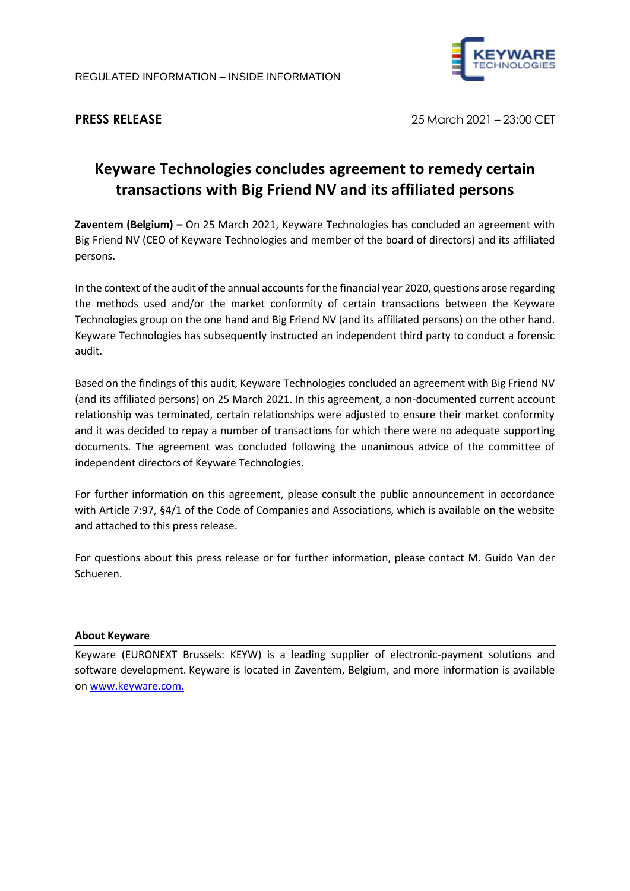

**PRESS RELEASE** 25 March 2021 – 23:00 CET

## **Keyware Technologies concludes agreement to remedy certain transactions with Big Friend NV and its affiliated persons**

**Zaventem (Belgium) –** On 25 March 2021, Keyware Technologies has concluded an agreement with Big Friend NV (CEO of Keyware Technologies and member of the board of directors) and its affiliated persons.

In the context of the audit of the annual accounts for the financial year 2020, questions arose regarding the methods used and/or the market conformity of certain transactions between the Keyware Technologies group on the one hand and Big Friend NV (and its affiliated persons) on the other hand. Keyware Technologies has subsequently instructed an independent third party to conduct a forensic audit.

Based on the findings of this audit, Keyware Technologies concluded an agreement with Big Friend NV (and its affiliated persons) on 25 March 2021. In this agreement, a non-documented current account relationship was terminated, certain relationships were adjusted to ensure their market conformity and it was decided to repay a number of transactions for which there were no adequate supporting documents. The agreement was concluded following the unanimous advice of the committee of independent directors of Keyware Technologies.

For further information on this agreement, please consult the public announcement in accordance with Article 7:97, §4/1 of the Code of Companies and Associations, which is available on the website and attached to this press release.

For questions about this press release or for further information, please contact M. Guido Van der Schueren.

## **About Keyware**

Keyware (EURONEXT Brussels: KEYW) is a leading supplier of electronic-payment solutions and software development. Keyware is located in Zaventem, Belgium, and more information is available on [www.keyware.com.](http://www.keyware.com/)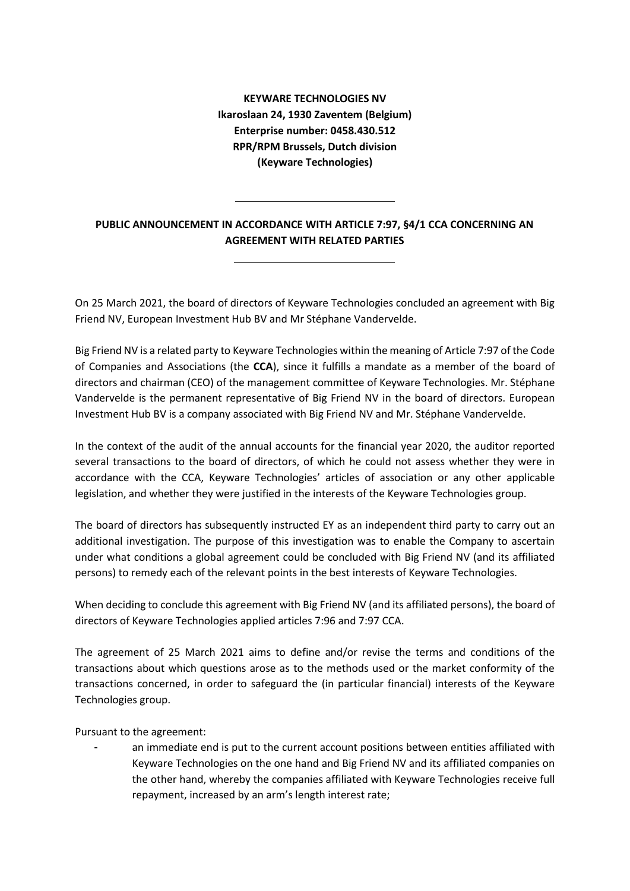**KEYWARE TECHNOLOGIES NV Ikaroslaan 24, 1930 Zaventem (Belgium) Enterprise number: 0458.430.512 RPR/RPM Brussels, Dutch division (Keyware Technologies)**

## **PUBLIC ANNOUNCEMENT IN ACCORDANCE WITH ARTICLE 7:97, §4/1 CCA CONCERNING AN AGREEMENT WITH RELATED PARTIES**

On 25 March 2021, the board of directors of Keyware Technologies concluded an agreement with Big Friend NV, European Investment Hub BV and Mr Stéphane Vandervelde.

Big Friend NV is a related party to Keyware Technologies within the meaning of Article 7:97 of the Code of Companies and Associations (the **CCA**), since it fulfills a mandate as a member of the board of directors and chairman (CEO) of the management committee of Keyware Technologies. Mr. Stéphane Vandervelde is the permanent representative of Big Friend NV in the board of directors. European Investment Hub BV is a company associated with Big Friend NV and Mr. Stéphane Vandervelde.

In the context of the audit of the annual accounts for the financial year 2020, the auditor reported several transactions to the board of directors, of which he could not assess whether they were in accordance with the CCA, Keyware Technologies' articles of association or any other applicable legislation, and whether they were justified in the interests of the Keyware Technologies group.

The board of directors has subsequently instructed EY as an independent third party to carry out an additional investigation. The purpose of this investigation was to enable the Company to ascertain under what conditions a global agreement could be concluded with Big Friend NV (and its affiliated persons) to remedy each of the relevant points in the best interests of Keyware Technologies.

When deciding to conclude this agreement with Big Friend NV (and its affiliated persons), the board of directors of Keyware Technologies applied articles 7:96 and 7:97 CCA.

The agreement of 25 March 2021 aims to define and/or revise the terms and conditions of the transactions about which questions arose as to the methods used or the market conformity of the transactions concerned, in order to safeguard the (in particular financial) interests of the Keyware Technologies group.

Pursuant to the agreement:

an immediate end is put to the current account positions between entities affiliated with Keyware Technologies on the one hand and Big Friend NV and its affiliated companies on the other hand, whereby the companies affiliated with Keyware Technologies receive full repayment, increased by an arm's length interest rate;